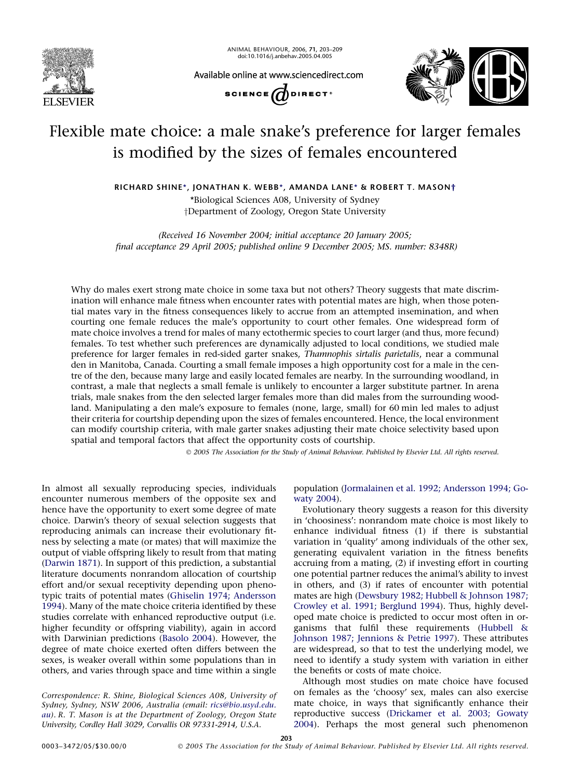

ANIMAL BEHAVIOUR, 2006, 71, 203–209 doi:10.1016/j.anbehav.2005.04.005





# Flexible mate choice: a male snake's preference for larger females is modified by the sizes of females encountered

RICHARD SHINE\*, JONATHAN K. WEBB\*, AMANDA LANE\* & ROBERT T. MASON† \*Biological Sciences A08, University of Sydney yDepartment of Zoology, Oregon State University

(Received 16 November 2004; initial acceptance 20 January 2005; final acceptance 29 April 2005; published online 9 December 2005; MS. number: 8348R)

Why do males exert strong mate choice in some taxa but not others? Theory suggests that mate discrimination will enhance male fitness when encounter rates with potential mates are high, when those potential mates vary in the fitness consequences likely to accrue from an attempted insemination, and when courting one female reduces the male's opportunity to court other females. One widespread form of mate choice involves a trend for males of many ectothermic species to court larger (and thus, more fecund) females. To test whether such preferences are dynamically adjusted to local conditions, we studied male preference for larger females in red-sided garter snakes, Thamnophis sirtalis parietalis, near a communal den in Manitoba, Canada. Courting a small female imposes a high opportunity cost for a male in the centre of the den, because many large and easily located females are nearby. In the surrounding woodland, in contrast, a male that neglects a small female is unlikely to encounter a larger substitute partner. In arena trials, male snakes from the den selected larger females more than did males from the surrounding woodland. Manipulating a den male's exposure to females (none, large, small) for 60 min led males to adjust their criteria for courtship depending upon the sizes of females encountered. Hence, the local environment can modify courtship criteria, with male garter snakes adjusting their mate choice selectivity based upon spatial and temporal factors that affect the opportunity costs of courtship.

2005 The Association for the Study of Animal Behaviour. Published by Elsevier Ltd. All rights reserved.

In almost all sexually reproducing species, individuals encounter numerous members of the opposite sex and hence have the opportunity to exert some degree of mate choice. Darwin's theory of sexual selection suggests that reproducing animals can increase their evolutionary fitness by selecting a mate (or mates) that will maximize the output of viable offspring likely to result from that mating ([Darwin 1871](#page-5-0)). In support of this prediction, a substantial literature documents nonrandom allocation of courtship effort and/or sexual receptivity depending upon phenotypic traits of potential mates [\(Ghiselin 1974; Andersson](#page-5-0) [1994](#page-5-0)). Many of the mate choice criteria identified by these studies correlate with enhanced reproductive output (i.e. higher fecundity or offspring viability), again in accord with Darwinian predictions [\(Basolo 2004\)](#page-5-0). However, the degree of mate choice exerted often differs between the sexes, is weaker overall within some populations than in others, and varies through space and time within a single

Correspondence: R. Shine, Biological Sciences A08, University of Sydney, Sydney, NSW 2006, Australia (email: [rics@bio.usyd.edu.](mailto:rics@bio.usyd.edu.au) [au\)](mailto:rics@bio.usyd.edu.au). R. T. Mason is at the Department of Zoology, Oregon State University, Cordley Hall 3029, Corvallis OR 97331-2914, U.S.A.

population ([Jormalainen et al. 1992; Andersson 1994; Go](#page-5-0)[waty 2004\)](#page-5-0).

Evolutionary theory suggests a reason for this diversity in 'choosiness': nonrandom mate choice is most likely to enhance individual fitness (1) if there is substantial variation in 'quality' among individuals of the other sex, generating equivalent variation in the fitness benefits accruing from a mating, (2) if investing effort in courting one potential partner reduces the animal's ability to invest in others, and (3) if rates of encounter with potential mates are high [\(Dewsbury 1982; Hubbell & Johnson 1987;](#page-5-0) [Crowley et al. 1991; Berglund 1994\)](#page-5-0). Thus, highly developed mate choice is predicted to occur most often in organisms that fulfil these requirements [\(Hubbell &](#page-5-0) [Johnson 1987; Jennions & Petrie 1997](#page-5-0)). These attributes are widespread, so that to test the underlying model, we need to identify a study system with variation in either the benefits or costs of mate choice.

Although most studies on mate choice have focused on females as the 'choosy' sex, males can also exercise mate choice, in ways that significantly enhance their reproductive success [\(Drickamer et al. 2003; Gowaty](#page-5-0) [2004](#page-5-0)). Perhaps the most general such phenomenon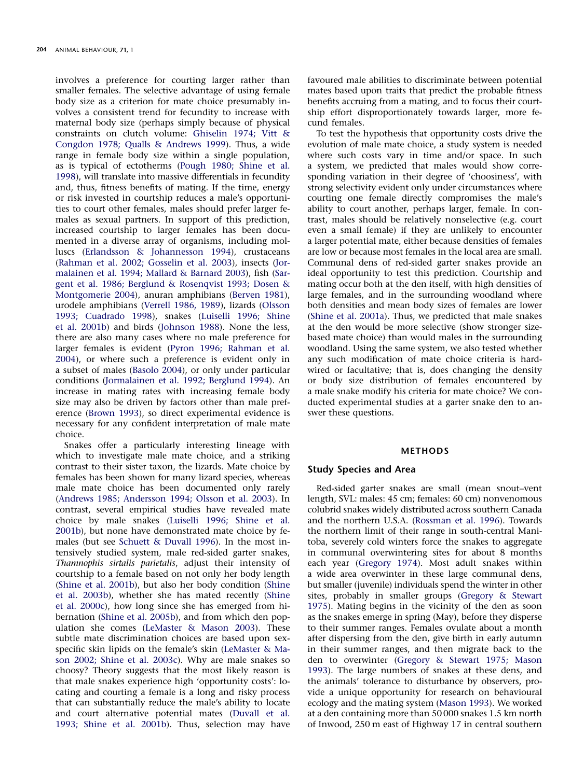involves a preference for courting larger rather than smaller females. The selective advantage of using female body size as a criterion for mate choice presumably involves a consistent trend for fecundity to increase with maternal body size (perhaps simply because of physical constraints on clutch volume: [Ghiselin 1974; Vitt &](#page-5-0) [Congdon 1978; Qualls & Andrews 1999](#page-5-0)). Thus, a wide range in female body size within a single population, as is typical of ectotherms ([Pough 1980; Shine et al.](#page-5-0) [1998](#page-5-0)), will translate into massive differentials in fecundity and, thus, fitness benefits of mating. If the time, energy or risk invested in courtship reduces a male's opportunities to court other females, males should prefer larger females as sexual partners. In support of this prediction, increased courtship to larger females has been documented in a diverse array of organisms, including molluscs ([Erlandsson & Johannesson 1994\)](#page-5-0), crustaceans ([Rahman et al. 2002; Gosselin et al. 2003\)](#page-5-0), insects [\(Jor](#page-5-0)[malainen et al. 1994; Mallard & Barnard 2003](#page-5-0)), fish ([Sar](#page-6-0)[gent et al. 1986; Berglund & Rosenqvist 1993; Dosen &](#page-6-0) [Montgomerie 2004](#page-6-0)), anuran amphibians ([Berven 1981](#page-5-0)), urodele amphibians ([Verrell 1986, 1989\)](#page-6-0), lizards [\(Olsson](#page-5-0) [1993; Cuadrado 1998](#page-5-0)), snakes [\(Luiselli 1996; Shine](#page-5-0) [et al. 2001b\)](#page-5-0) and birds ([Johnson 1988\)](#page-5-0). None the less, there are also many cases where no male preference for larger females is evident ([Pyron 1996; Rahman et al.](#page-5-0) [2004](#page-5-0)), or where such a preference is evident only in a subset of males ([Basolo 2004\)](#page-5-0), or only under particular conditions [\(Jormalainen et al. 1992; Berglund 1994\)](#page-5-0). An increase in mating rates with increasing female body size may also be driven by factors other than male preference [\(Brown 1993\)](#page-5-0), so direct experimental evidence is necessary for any confident interpretation of male mate choice.

Snakes offer a particularly interesting lineage with which to investigate male mate choice, and a striking contrast to their sister taxon, the lizards. Mate choice by females has been shown for many lizard species, whereas male mate choice has been documented only rarely ([Andrews 1985; Andersson 1994; Olsson et al. 2003](#page-5-0)). In contrast, several empirical studies have revealed mate choice by male snakes [\(Luiselli 1996; Shine et al.](#page-5-0) [2001b](#page-5-0)), but none have demonstrated mate choice by females (but see [Schuett & Duvall 1996\)](#page-6-0). In the most intensively studied system, male red-sided garter snakes, Thamnophis sirtalis parietalis, adjust their intensity of courtship to a female based on not only her body length ([Shine et al. 2001b](#page-6-0)), but also her body condition [\(Shine](#page-6-0) [et al. 2003b](#page-6-0)), whether she has mated recently [\(Shine](#page-6-0) [et al. 2000c\)](#page-6-0), how long since she has emerged from hibernation [\(Shine et al. 2005b\)](#page-6-0), and from which den population she comes [\(LeMaster & Mason 2003](#page-5-0)). These subtle mate discrimination choices are based upon sexspecific skin lipids on the female's skin [\(LeMaster & Ma](#page-5-0)[son 2002; Shine et al. 2003c\)](#page-5-0). Why are male snakes so choosy? Theory suggests that the most likely reason is that male snakes experience high 'opportunity costs': locating and courting a female is a long and risky process that can substantially reduce the male's ability to locate and court alternative potential mates [\(Duvall et al.](#page-5-0) [1993; Shine et al. 2001b\)](#page-5-0). Thus, selection may have

favoured male abilities to discriminate between potential mates based upon traits that predict the probable fitness benefits accruing from a mating, and to focus their courtship effort disproportionately towards larger, more fecund females.

To test the hypothesis that opportunity costs drive the evolution of male mate choice, a study system is needed where such costs vary in time and/or space. In such a system, we predicted that males would show corresponding variation in their degree of 'choosiness', with strong selectivity evident only under circumstances where courting one female directly compromises the male's ability to court another, perhaps larger, female. In contrast, males should be relatively nonselective (e.g. court even a small female) if they are unlikely to encounter a larger potential mate, either because densities of females are low or because most females in the local area are small. Communal dens of red-sided garter snakes provide an ideal opportunity to test this prediction. Courtship and mating occur both at the den itself, with high densities of large females, and in the surrounding woodland where both densities and mean body sizes of females are lower ([Shine et al. 2001a\)](#page-6-0). Thus, we predicted that male snakes at the den would be more selective (show stronger sizebased mate choice) than would males in the surrounding woodland. Using the same system, we also tested whether any such modification of mate choice criteria is hardwired or facultative; that is, does changing the density or body size distribution of females encountered by a male snake modify his criteria for mate choice? We conducted experimental studies at a garter snake den to answer these questions.

#### METHODS

### Study Species and Area

Red-sided garter snakes are small (mean snout–vent length, SVL: males: 45 cm; females: 60 cm) nonvenomous colubrid snakes widely distributed across southern Canada and the northern U.S.A. [\(Rossman et al. 1996](#page-6-0)). Towards the northern limit of their range in south-central Manitoba, severely cold winters force the snakes to aggregate in communal overwintering sites for about 8 months each year ([Gregory 1974\)](#page-5-0). Most adult snakes within a wide area overwinter in these large communal dens, but smaller (juvenile) individuals spend the winter in other sites, probably in smaller groups ([Gregory & Stewart](#page-5-0) [1975](#page-5-0)). Mating begins in the vicinity of the den as soon as the snakes emerge in spring (May), before they disperse to their summer ranges. Females ovulate about a month after dispersing from the den, give birth in early autumn in their summer ranges, and then migrate back to the den to overwinter [\(Gregory & Stewart 1975; Mason](#page-5-0) [1993](#page-5-0)). The large numbers of snakes at these dens, and the animals' tolerance to disturbance by observers, provide a unique opportunity for research on behavioural ecology and the mating system ([Mason 1993\)](#page-5-0). We worked at a den containing more than 50 000 snakes 1.5 km north of Inwood, 250 m east of Highway 17 in central southern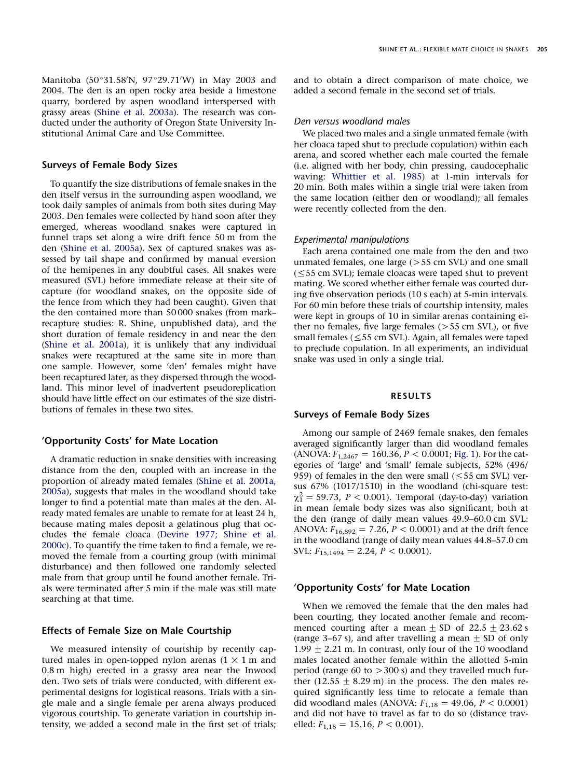Manitoba (50°31.58'N, 97°29.71'W) in May 2003 and 2004. The den is an open rocky area beside a limestone quarry, bordered by aspen woodland interspersed with grassy areas ([Shine et al. 2003a\)](#page-6-0). The research was conducted under the authority of Oregon State University Institutional Animal Care and Use Committee.

#### Surveys of Female Body Sizes

To quantify the size distributions of female snakes in the den itself versus in the surrounding aspen woodland, we took daily samples of animals from both sites during May 2003. Den females were collected by hand soon after they emerged, whereas woodland snakes were captured in funnel traps set along a wire drift fence 50 m from the den ([Shine et al. 2005a](#page-6-0)). Sex of captured snakes was assessed by tail shape and confirmed by manual eversion of the hemipenes in any doubtful cases. All snakes were measured (SVL) before immediate release at their site of capture (for woodland snakes, on the opposite side of the fence from which they had been caught). Given that the den contained more than 50 000 snakes (from mark– recapture studies: R. Shine, unpublished data), and the short duration of female residency in and near the den ([Shine et al. 2001a](#page-6-0)), it is unlikely that any individual snakes were recaptured at the same site in more than one sample. However, some 'den' females might have been recaptured later, as they dispersed through the woodland. This minor level of inadvertent pseudoreplication should have little effect on our estimates of the size distributions of females in these two sites.

# 'Opportunity Costs' for Mate Location

A dramatic reduction in snake densities with increasing distance from the den, coupled with an increase in the proportion of already mated females ([Shine et al. 2001a,](#page-6-0) [2005a\)](#page-6-0), suggests that males in the woodland should take longer to find a potential mate than males at the den. Already mated females are unable to remate for at least 24 h, because mating males deposit a gelatinous plug that occludes the female cloaca [\(Devine 1977; Shine et al.](#page-5-0) [2000c](#page-5-0)). To quantify the time taken to find a female, we removed the female from a courting group (with minimal disturbance) and then followed one randomly selected male from that group until he found another female. Trials were terminated after 5 min if the male was still mate searching at that time.

## Effects of Female Size on Male Courtship

We measured intensity of courtship by recently captured males in open-topped nylon arenas  $(1 \times 1$  m and 0.8 m high) erected in a grassy area near the Inwood den. Two sets of trials were conducted, with different experimental designs for logistical reasons. Trials with a single male and a single female per arena always produced vigorous courtship. To generate variation in courtship intensity, we added a second male in the first set of trials;

and to obtain a direct comparison of mate choice, we added a second female in the second set of trials.

#### Den versus woodland males

We placed two males and a single unmated female (with her cloaca taped shut to preclude copulation) within each arena, and scored whether each male courted the female (i.e. aligned with her body, chin pressing, caudocephalic waving: [Whittier et al. 1985](#page-6-0)) at 1-min intervals for 20 min. Both males within a single trial were taken from the same location (either den or woodland); all females were recently collected from the den.

#### Experimental manipulations

Each arena contained one male from the den and two unmated females, one large  $(>55$  cm SVL) and one small  $( $55 \text{ cm}$  SVL)$ ; female cloacas were taped shut to prevent mating. We scored whether either female was courted during five observation periods (10 s each) at 5-min intervals. For 60 min before these trials of courtship intensity, males were kept in groups of 10 in similar arenas containing either no females, five large females  $(>55$  cm SVL), or five small females ( $\leq$  55 cm SVL). Again, all females were taped to preclude copulation. In all experiments, an individual snake was used in only a single trial.

## RESULTS

#### Surveys of Female Body Sizes

Among our sample of 2469 female snakes, den females averaged significantly larger than did woodland females (ANOVA:  $F_{1,2467} = 160.36$ ,  $P < 0.0001$ ; [Fig. 1\)](#page-3-0). For the categories of 'large' and 'small' female subjects, 52% (496/ 959) of females in the den were small  $(\leq 55$  cm SVL) versus 67% (1017/1510) in the woodland (chi-square test:  $\chi_1^2 = 59.73$ ,  $P < 0.001$ ). Temporal (day-to-day) variation in mean female body sizes was also significant, both at the den (range of daily mean values 49.9–60.0 cm SVL: ANOVA:  $F_{16,892} = 7.26$ ,  $P < 0.0001$ ) and at the drift fence in the woodland (range of daily mean values 44.8–57.0 cm SVL:  $F_{15,1494} = 2.24$ ,  $P < 0.0001$ ).

# 'Opportunity Costs' for Mate Location

When we removed the female that the den males had been courting, they located another female and recommenced courting after a mean  $\pm$  SD of 22.5  $\pm$  23.62 s (range 3–67 s), and after travelling a mean  $\pm$  SD of only 1.99  $\pm$  2.21 m. In contrast, only four of the 10 woodland males located another female within the allotted 5-min period (range 60 to  $>$  300 s) and they travelled much further (12.55  $\pm$  8.29 m) in the process. The den males required significantly less time to relocate a female than did woodland males (ANOVA:  $F_{1,18} = 49.06$ ,  $P < 0.0001$ ) and did not have to travel as far to do so (distance travelled:  $F_{1,18} = 15.16, P < 0.001$ ).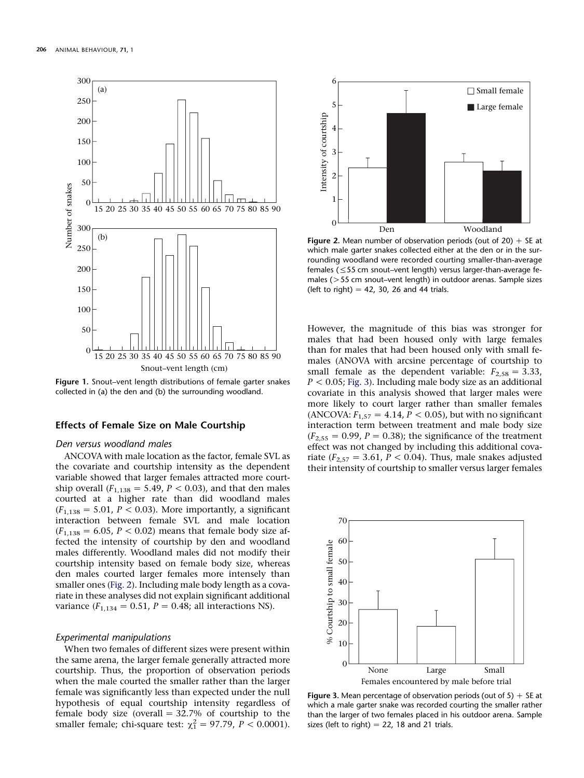<span id="page-3-0"></span>

Figure 1. Snout–vent length distributions of female garter snakes collected in (a) the den and (b) the surrounding woodland.

# Effects of Female Size on Male Courtship

#### Den versus woodland males

ANCOVA with male location as the factor, female SVL as the covariate and courtship intensity as the dependent variable showed that larger females attracted more courtship overall ( $F_{1,138} = 5.49$ ,  $P < 0.03$ ), and that den males courted at a higher rate than did woodland males  $(F_{1,138} = 5.01, P < 0.03)$ . More importantly, a significant interaction between female SVL and male location  $(F<sub>1,138</sub> = 6.05, P < 0.02)$  means that female body size affected the intensity of courtship by den and woodland males differently. Woodland males did not modify their courtship intensity based on female body size, whereas den males courted larger females more intensely than smaller ones (Fig. 2). Including male body length as a covariate in these analyses did not explain significant additional variance  $(F_{1,134} = 0.51, P = 0.48;$  all interactions NS).

#### Experimental manipulations

When two females of different sizes were present within the same arena, the larger female generally attracted more courtship. Thus, the proportion of observation periods when the male courted the smaller rather than the larger female was significantly less than expected under the null hypothesis of equal courtship intensity regardless of female body size (overall  $= 32.7\%$  of courtship to the smaller female; chi-square test:  $\chi_1^2 = 97.79$ ,  $P < 0.0001$ ).



Figure 2. Mean number of observation periods (out of 20) + SE at which male garter snakes collected either at the den or in the surrounding woodland were recorded courting smaller-than-average females ( $\leq$ 55 cm snout–vent length) versus larger-than-average females ( $>55$  cm snout–vent length) in outdoor arenas. Sample sizes (left to right)  $= 42$ , 30, 26 and 44 trials.

However, the magnitude of this bias was stronger for males that had been housed only with large females than for males that had been housed only with small females (ANOVA with arcsine percentage of courtship to small female as the dependent variable:  $F_{2,58} = 3.33$ ,  $P < 0.05$ ; Fig. 3). Including male body size as an additional covariate in this analysis showed that larger males were more likely to court larger rather than smaller females (ANCOVA:  $F_{1,57} = 4.14$ ,  $P < 0.05$ ), but with no significant interaction term between treatment and male body size  $(F_{2,55} = 0.99, P = 0.38)$ ; the significance of the treatment effect was not changed by including this additional covariate ( $F_{2,57} = 3.61$ ,  $P < 0.04$ ). Thus, male snakes adjusted their intensity of courtship to smaller versus larger females



**Figure 3.** Mean percentage of observation periods (out of  $5$ ) + SE at which a male garter snake was recorded courting the smaller rather than the larger of two females placed in his outdoor arena. Sample sizes (left to right)  $= 22$ , 18 and 21 trials.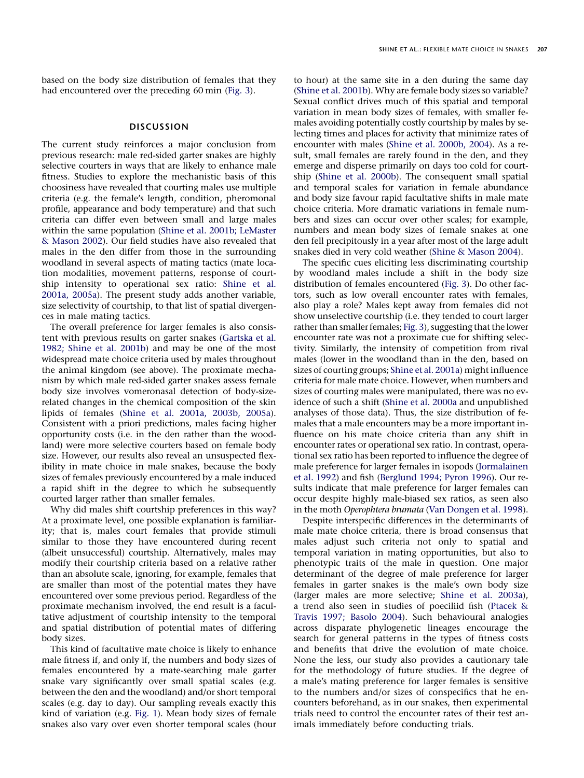based on the body size distribution of females that they had encountered over the preceding 60 min [\(Fig. 3](#page-3-0)).

#### **DISCUSSION**

The current study reinforces a major conclusion from previous research: male red-sided garter snakes are highly selective courters in ways that are likely to enhance male fitness. Studies to explore the mechanistic basis of this choosiness have revealed that courting males use multiple criteria (e.g. the female's length, condition, pheromonal profile, appearance and body temperature) and that such criteria can differ even between small and large males within the same population [\(Shine et al. 2001b; LeMaster](#page-6-0) [& Mason 2002\)](#page-6-0). Our field studies have also revealed that males in the den differ from those in the surrounding woodland in several aspects of mating tactics (mate location modalities, movement patterns, response of courtship intensity to operational sex ratio: [Shine et al.](#page-6-0) [2001a, 2005a\)](#page-6-0). The present study adds another variable, size selectivity of courtship, to that list of spatial divergences in male mating tactics.

The overall preference for larger females is also consistent with previous results on garter snakes ([Gartska et al.](#page-5-0) [1982; Shine et al. 2001b\)](#page-5-0) and may be one of the most widespread mate choice criteria used by males throughout the animal kingdom (see above). The proximate mechanism by which male red-sided garter snakes assess female body size involves vomeronasal detection of body-sizerelated changes in the chemical composition of the skin lipids of females [\(Shine et al. 2001a, 2003b, 2005a\)](#page-6-0). Consistent with a priori predictions, males facing higher opportunity costs (i.e. in the den rather than the woodland) were more selective courters based on female body size. However, our results also reveal an unsuspected flexibility in mate choice in male snakes, because the body sizes of females previously encountered by a male induced a rapid shift in the degree to which he subsequently courted larger rather than smaller females.

Why did males shift courtship preferences in this way? At a proximate level, one possible explanation is familiarity; that is, males court females that provide stimuli similar to those they have encountered during recent (albeit unsuccessful) courtship. Alternatively, males may modify their courtship criteria based on a relative rather than an absolute scale, ignoring, for example, females that are smaller than most of the potential mates they have encountered over some previous period. Regardless of the proximate mechanism involved, the end result is a facultative adjustment of courtship intensity to the temporal and spatial distribution of potential mates of differing body sizes.

This kind of facultative mate choice is likely to enhance male fitness if, and only if, the numbers and body sizes of females encountered by a mate-searching male garter snake vary significantly over small spatial scales (e.g. between the den and the woodland) and/or short temporal scales (e.g. day to day). Our sampling reveals exactly this kind of variation (e.g. [Fig. 1\)](#page-3-0). Mean body sizes of female snakes also vary over even shorter temporal scales (hour

to hour) at the same site in a den during the same day ([Shine et al. 2001b\)](#page-6-0). Why are female body sizes so variable? Sexual conflict drives much of this spatial and temporal variation in mean body sizes of females, with smaller females avoiding potentially costly courtship by males by selecting times and places for activity that minimize rates of encounter with males ([Shine et al. 2000b, 2004\)](#page-6-0). As a result, small females are rarely found in the den, and they emerge and disperse primarily on days too cold for courtship ([Shine et al. 2000b\)](#page-6-0). The consequent small spatial and temporal scales for variation in female abundance and body size favour rapid facultative shifts in male mate choice criteria. More dramatic variations in female numbers and sizes can occur over other scales; for example, numbers and mean body sizes of female snakes at one den fell precipitously in a year after most of the large adult snakes died in very cold weather ([Shine & Mason 2004](#page-6-0)).

The specific cues eliciting less discriminating courtship by woodland males include a shift in the body size distribution of females encountered [\(Fig. 3\)](#page-3-0). Do other factors, such as low overall encounter rates with females, also play a role? Males kept away from females did not show unselective courtship (i.e. they tended to court larger rather than smaller females; [Fig. 3](#page-3-0)), suggesting that the lower encounter rate was not a proximate cue for shifting selectivity. Similarly, the intensity of competition from rival males (lower in the woodland than in the den, based on sizes of courting groups; [Shine et al. 2001a\)](#page-6-0) might influence criteria for male mate choice. However, when numbers and sizes of courting males were manipulated, there was no evidence of such a shift ([Shine et al. 2000a](#page-6-0) and unpublished analyses of those data). Thus, the size distribution of females that a male encounters may be a more important influence on his mate choice criteria than any shift in encounter rates or operational sex ratio. In contrast, operational sex ratio has been reported to influence the degree of male preference for larger females in isopods [\(Jormalainen](#page-5-0) [et al. 1992\)](#page-5-0) and fish ([Berglund 1994; Pyron 1996](#page-5-0)). Our results indicate that male preference for larger females can occur despite highly male-biased sex ratios, as seen also in the moth Operophtera brumata [\(Van Dongen et al. 1998](#page-6-0)).

Despite interspecific differences in the determinants of male mate choice criteria, there is broad consensus that males adjust such criteria not only to spatial and temporal variation in mating opportunities, but also to phenotypic traits of the male in question. One major determinant of the degree of male preference for larger females in garter snakes is the male's own body size (larger males are more selective; [Shine et al. 2003a](#page-6-0)), a trend also seen in studies of poeciliid fish [\(Ptacek &](#page-5-0) [Travis 1997; Basolo 2004\)](#page-5-0). Such behavioural analogies across disparate phylogenetic lineages encourage the search for general patterns in the types of fitness costs and benefits that drive the evolution of mate choice. None the less, our study also provides a cautionary tale for the methodology of future studies. If the degree of a male's mating preference for larger females is sensitive to the numbers and/or sizes of conspecifics that he encounters beforehand, as in our snakes, then experimental trials need to control the encounter rates of their test animals immediately before conducting trials.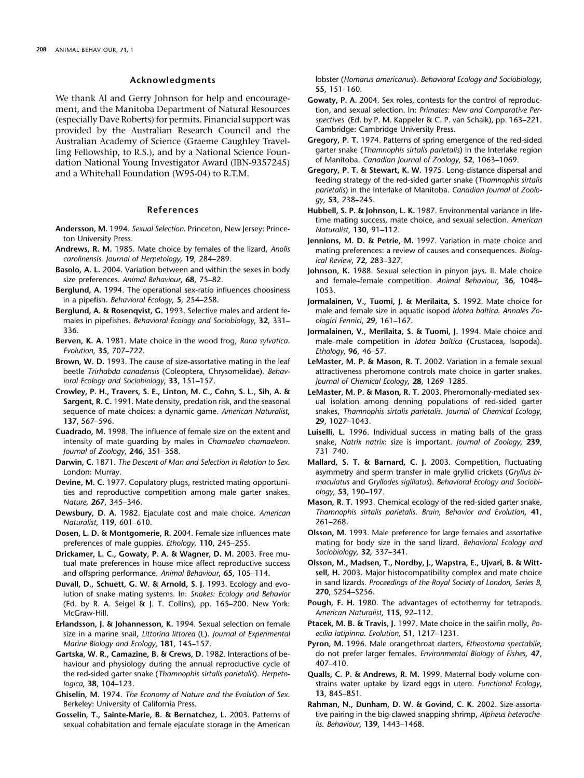#### Acknowledgments

<span id="page-5-0"></span>We thank Al and Gerry Johnson for help and encouragement, and the Manitoba Department of Natural Resources (especially Dave Roberts) for permits. Financial support was provided by the Australian Research Council and the Australian Academy of Science (Graeme Caughley Travelling Fellowship, to R.S.), and by a National Science Foundation National Young Investigator Award (IBN-9357245) and a Whitehall Foundation (W95-04) to R.T.M.

#### References

- Andersson, M. 1994. Sexual Selection. Princeton, New Jersey: Princeton University Press.
- Andrews, R. M. 1985. Mate choice by females of the lizard, Anolis carolinensis. Journal of Herpetology, 19, 284–289.
- Basolo, A. L. 2004. Variation between and within the sexes in body size preferences. Animal Behaviour, 68, 75–82.
- Berglund, A. 1994. The operational sex-ratio influences choosiness in a pipefish. Behavioral Ecology, 5, 254–258.
- Berglund, A. & Rosenqvist, G. 1993. Selective males and ardent females in pipefishes. Behavioral Ecology and Sociobiology, 32, 331– 336.
- Berven, K. A. 1981. Mate choice in the wood frog, Rana sylvatica. Evolution, 35, 707–722.
- Brown, W. D. 1993. The cause of size-assortative mating in the leaf beetle Trirhabda canadensis (Coleoptera, Chrysomelidae). Behavioral Ecology and Sociobiology, 33, 151–157.
- Crowley, P. H., Travers, S. E., Linton, M. C., Cohn, S. L., Sih, A. & Sargent, R. C. 1991. Mate density, predation risk, and the seasonal sequence of mate choices: a dynamic game. American Naturalist, 137, 567–596.
- Cuadrado, M. 1998. The influence of female size on the extent and intensity of mate guarding by males in Chamaeleo chamaeleon. Journal of Zoology, 246, 351–358.
- Darwin, C. 1871. The Descent of Man and Selection in Relation to Sex. London: Murray.
- Devine, M. C. 1977. Copulatory plugs, restricted mating opportunities and reproductive competition among male garter snakes. Nature, 267, 345–346.
- Dewsbury, D. A. 1982. Ejaculate cost and male choice. American Naturalist, 119, 601–610.
- Dosen, L. D. & Montgomerie, R. 2004. Female size influences mate preferences of male guppies. Ethology, 110, 245–255.
- Drickamer, L. C., Gowaty, P. A. & Wagner, D. M. 2003. Free mutual mate preferences in house mice affect reproductive success and offspring performance. Animal Behaviour, 65, 105–114.
- Duvall, D., Schuett, G. W. & Arnold, S. J. 1993. Ecology and evolution of snake mating systems. In: Snakes: Ecology and Behavior (Ed. by R. A. Seigel & J. T. Collins), pp. 165–200. New York: McGraw-Hill.
- Erlandsson, J. & Johannesson, K. 1994. Sexual selection on female size in a marine snail, Littorina littorea (L). Journal of Experimental Marine Biology and Ecology, 181, 145–157.
- Gartska, W. R., Camazine, B. & Crews, D. 1982. Interactions of behaviour and physiology during the annual reproductive cycle of the red-sided garter snake (Thamnophis sirtalis parietalis). Herpetologica, 38, 104–123.
- Ghiselin, M. 1974. The Economy of Nature and the Evolution of Sex. Berkeley: University of California Press.
- Gosselin, T., Sainte-Marie, B. & Bernatchez, L. 2003. Patterns of sexual cohabitation and female ejaculate storage in the American

lobster (Homarus americanus). Behavioral Ecology and Sociobiology, 55, 151–160.

- Gowaty, P. A. 2004. Sex roles, contests for the control of reproduction, and sexual selection. In: Primates: New and Comparative Perspectives (Ed. by P. M. Kappeler & C. P. van Schaik), pp. 163–221. Cambridge: Cambridge University Press.
- Gregory, P. T. 1974. Patterns of spring emergence of the red-sided garter snake (Thamnophis sirtalis parietalis) in the Interlake region of Manitoba. Canadian Journal of Zoology, 52, 1063–1069.
- Gregory, P. T. & Stewart, K. W. 1975. Long-distance dispersal and feeding strategy of the red-sided garter snake (Thamnophis sirtalis parietalis) in the Interlake of Manitoba. Canadian Journal of Zoology, 53, 238–245.
- Hubbell, S. P. & Johnson, L. K. 1987. Environmental variance in lifetime mating success, mate choice, and sexual selection. American Naturalist, 130, 91–112.
- Jennions, M. D. & Petrie, M. 1997. Variation in mate choice and mating preferences: a review of causes and consequences. Biological Review, 72, 283–327.
- Johnson, K. 1988. Sexual selection in pinyon jays. II. Male choice and female–female competition. Animal Behaviour, 36, 1048– 1053.
- Jormalainen, V., Tuomi, J. & Merilaita, S. 1992. Mate choice for male and female size in aquatic isopod Idotea baltica. Annales Zoologici Fennici, 29, 161–167.
- Jormalainen, V., Merilaita, S. & Tuomi, J. 1994. Male choice and male–male competition in Idotea baltica (Crustacea, Isopoda). Ethology, 96, 46–57.
- LeMaster, M. P. & Mason, R. T. 2002. Variation in a female sexual attractiveness pheromone controls mate choice in garter snakes. Journal of Chemical Ecology, 28, 1269–1285.
- LeMaster, M. P. & Mason, R. T. 2003. Pheromonally-mediated sexual isolation among denning populations of red-sided garter snakes, Thamnophis sirtalis parietalis. Journal of Chemical Ecology, 29, 1027–1043.
- Luiselli, L. 1996. Individual success in mating balls of the grass snake, Natrix natrix: size is important. Journal of Zoology, 239, 731–740.
- Mallard, S. T. & Barnard, C. J. 2003. Competition, fluctuating asymmetry and sperm transfer in male gryllid crickets (Gryllus bimaculatus and Gryllodes sigillatus). Behavioral Ecology and Sociobiology, 53, 190–197.
- Mason, R. T. 1993. Chemical ecology of the red-sided garter snake, Thamnophis sirtalis parietalis. Brain, Behavior and Evolution, 41, 261–268.
- Olsson, M. 1993. Male preference for large females and assortative mating for body size in the sand lizard. Behavioral Ecology and Sociobiology, 32, 337–341.
- Olsson, M., Madsen, T., Nordby, J., Wapstra, E., Ujvari, B. & Wittsell, H. 2003. Major histocompatibility complex and mate choice in sand lizards. Proceedings of the Royal Society of London, Series B, 270, S254–S256.
- Pough, F. H. 1980. The advantages of ectothermy for tetrapods. American Naturalist, 115, 92–112.
- Ptacek, M. B. & Travis, J. 1997. Mate choice in the sailfin molly, Poecilia latipinna. Evolution, 51, 1217–1231.
- Pyron, M. 1996. Male orangethroat darters, Etheostoma spectabile, do not prefer larger females. Environmental Biology of Fishes, 47, 407–410.
- Qualls, C. P. & Andrews, R. M. 1999. Maternal body volume constrains water uptake by lizard eggs in utero. Functional Ecology, 13, 845–851.
- Rahman, N., Dunham, D. W. & Govind, C. K. 2002. Size-assortative pairing in the big-clawed snapping shrimp, Alpheus heterochelis. Behaviour, 139, 1443–1468.